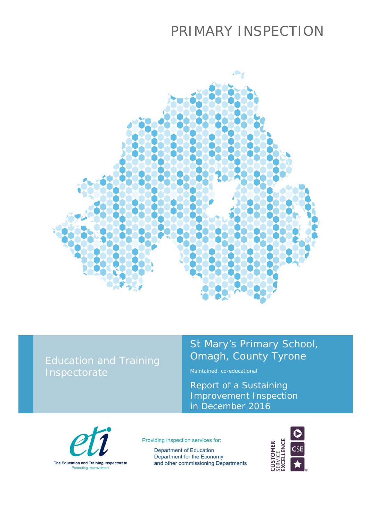# PRIMARY INSPECTION



### Education and Training Inspectorate

## St Mary's Primary School, Omagh, County Tyrone

Maintained, co-educational

Report of a Sustaining Improvement Inspection in December 2016



Providing inspection services for:

**Department of Education** Department for the Economy and other commissioning Departments

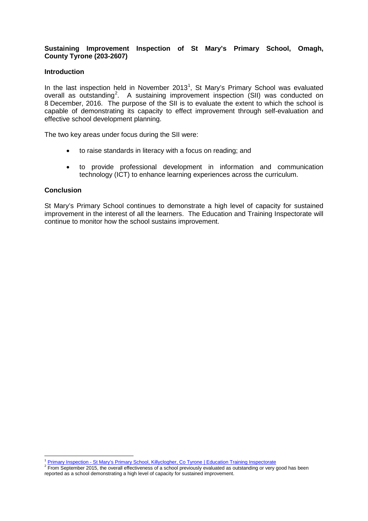#### **Sustaining Improvement Inspection of St Mary's Primary School, Omagh, County Tyrone (203-2607)**

#### **Introduction**

In the last inspection held in November 20[1](#page-1-0)3<sup>1</sup>, St Mary's Primary School was evaluated overall as outstanding<sup>[2](#page-1-1)</sup>. A sustaining improvement inspection (SII) was conducted on 8 December, 2016. The purpose of the SII is to evaluate the extent to which the school is capable of demonstrating its capacity to effect improvement through self-evaluation and effective school development planning.

The two key areas under focus during the SII were:

- to raise standards in literacy with a focus on reading; and
- to provide professional development in information and communication technology (ICT) to enhance learning experiences across the curriculum.

#### **Conclusion**

 $\overline{a}$ 

St Mary's Primary School continues to demonstrate a high level of capacity for sustained improvement in the interest of all the learners. The Education and Training Inspectorate will continue to monitor how the school sustains improvement.

<span id="page-1-1"></span><span id="page-1-0"></span><sup>&</sup>lt;sup>1</sup> Primary Inspection - [St Mary's Primary School, Killyclogher, Co Tyrone | Education Training Inspectorate](https://www.etini.gov.uk/publications/primary-inspection-st-mary%E2%80%99s-primary-school-killyclogher-co-tyrone)<br><sup>2</sup> From September 2015, the overall effectiveness of a school previously evaluated as outstanding or very good h reported as a school demonstrating a high level of capacity for sustained improvement.